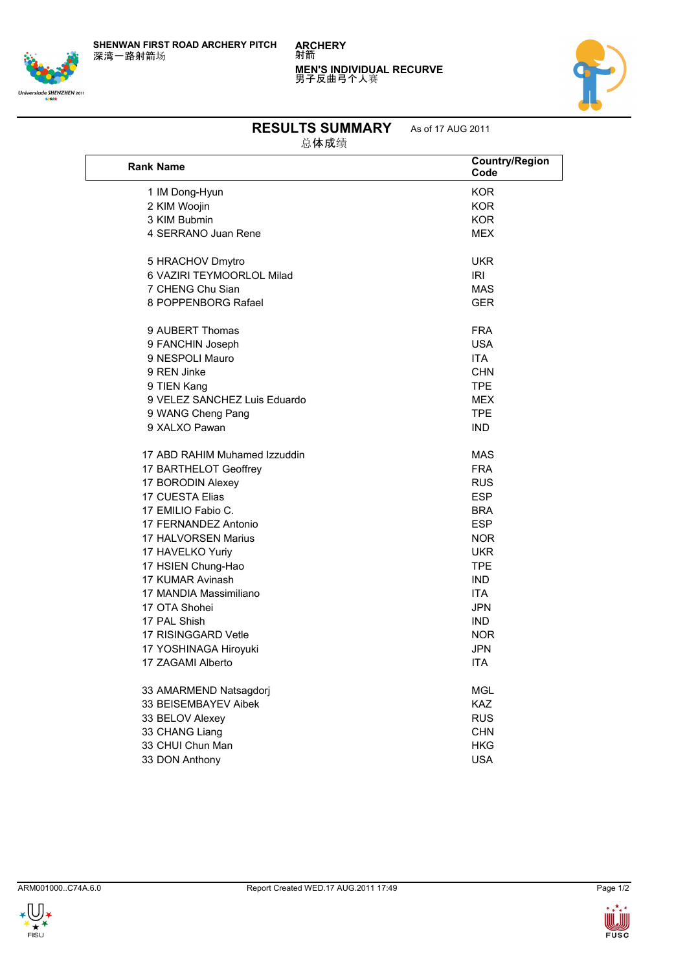**SHENWAN FIRST ROAD ARCHERY PITCH** 深湾一路射箭场







## **RESULTS SUMMARY** As of 17 AUG 2011

总体成绩

| <b>Rank Name</b>              | <b>Country/Region</b><br>Code |
|-------------------------------|-------------------------------|
| 1 IM Dong-Hyun                | <b>KOR</b>                    |
| 2 KIM Woojin                  | <b>KOR</b>                    |
| 3 KIM Bubmin                  | <b>KOR</b>                    |
| 4 SERRANO Juan Rene           | <b>MEX</b>                    |
|                               |                               |
| 5 HRACHOV Dmytro              | UKR                           |
| 6 VAZIRI TEYMOORLOL Milad     | IRI                           |
| 7 CHENG Chu Sian              | <b>MAS</b>                    |
| 8 POPPENBORG Rafael           | <b>GER</b>                    |
| 9 AUBERT Thomas               | <b>FRA</b>                    |
| 9 FANCHIN Joseph              | <b>USA</b>                    |
| 9 NESPOLI Mauro               | <b>ITA</b>                    |
| 9 REN Jinke                   | <b>CHN</b>                    |
| 9 TIEN Kang                   | <b>TPE</b>                    |
| 9 VELEZ SANCHEZ Luis Eduardo  | <b>MEX</b>                    |
| 9 WANG Cheng Pang             | <b>TPE</b>                    |
| 9 XALXO Pawan                 | <b>IND</b>                    |
| 17 ABD RAHIM Muhamed Izzuddin | <b>MAS</b>                    |
| 17 BARTHELOT Geoffrey         | <b>FRA</b>                    |
| 17 BORODIN Alexey             | <b>RUS</b>                    |
| 17 CUESTA Elias               | <b>ESP</b>                    |
| 17 EMILIO Fabio C.            | <b>BRA</b>                    |
| 17 FERNANDEZ Antonio          | <b>ESP</b>                    |
| 17 HALVORSEN Marius           | <b>NOR</b>                    |
| 17 HAVELKO Yuriy              | <b>UKR</b>                    |
| 17 HSIEN Chung-Hao            | <b>TPE</b>                    |
| 17 KUMAR Avinash              | <b>IND</b>                    |
| 17 MANDIA Massimiliano        | <b>ITA</b>                    |
| 17 OTA Shohei                 | <b>JPN</b>                    |
| 17 PAL Shish                  | <b>IND</b>                    |
| 17 RISINGGARD Vetle           | <b>NOR</b>                    |
| 17 YOSHINAGA Hiroyuki         | <b>JPN</b>                    |
| 17 ZAGAMI Alberto             | <b>ITA</b>                    |
| 33 AMARMEND Natsagdorj        | <b>MGL</b>                    |
| 33 BEISEMBAYEV Aibek          | <b>KAZ</b>                    |
| 33 BELOV Alexey               | <b>RUS</b>                    |
| 33 CHANG Liang                | <b>CHN</b>                    |
| 33 CHUI Chun Man              | <b>HKG</b>                    |
| 33 DON Anthony                | <b>USA</b>                    |
|                               |                               |